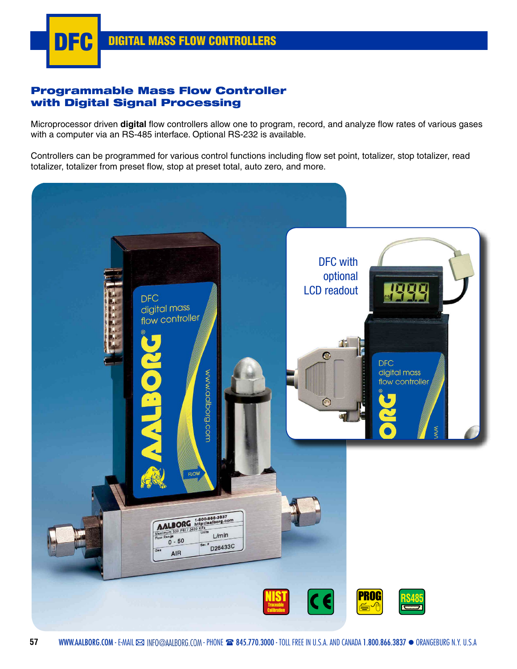

# Programmable Mass Flow Controller with Digital Signal Processing

Microprocessor driven **digital** flow controllers allow one to program, record, and analyze flow rates of various gases with a computer via an RS-485 interface. Optional RS-232 is available.

Controllers can be programmed for various control functions including flow set point, totalizer, stop totalizer, read totalizer, totalizer from preset flow, stop at preset total, auto zero, and more.

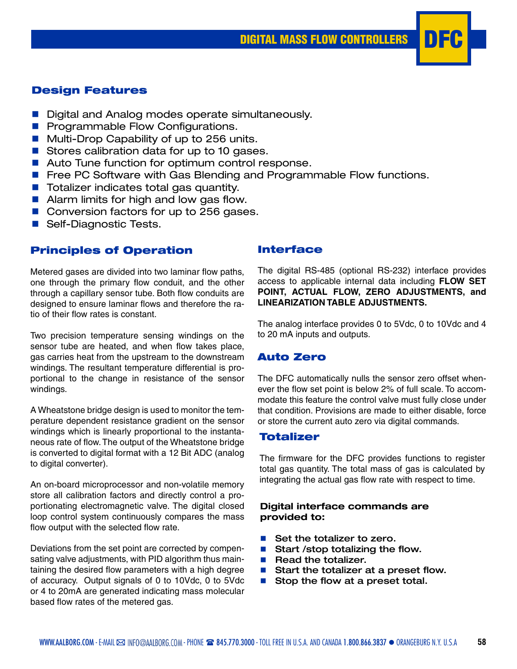# Design Features

- Digital and Analog modes operate simultaneously.
- **n** Programmable Flow Configurations.
- Multi-Drop Capability of up to 256 units.
- Stores calibration data for up to 10 gases.
- Auto Tune function for optimum control response.
- Free PC Software with Gas Blending and Programmable Flow functions.
- $\blacksquare$  Totalizer indicates total gas quantity.
- $\blacksquare$  Alarm limits for high and low gas flow.
- Conversion factors for up to 256 gases.
- Self-Diagnostic Tests.

# Principles of Operation

Metered gases are divided into two laminar flow paths, one through the primary flow conduit, and the other through a capillary sensor tube. Both flow conduits are designed to ensure laminar flows and therefore the ratio of their flow rates is constant.

Two precision temperature sensing windings on the sensor tube are heated, and when flow takes place, gas carries heat from the upstream to the downstream windings. The resultant temperature differential is proportional to the change in resistance of the sensor windings.

A Wheatstone bridge design is used to monitor the temperature dependent resistance gradient on the sensor windings which is linearly proportional to the instantaneous rate of flow. The output of the Wheatstone bridge is converted to digital format with a 12 Bit ADC (analog to digital converter).

An on-board microprocessor and non-volatile memory store all calibration factors and directly control a proportionating electromagnetic valve. The digital closed loop control system continuously compares the mass flow output with the selected flow rate.

Deviations from the set point are corrected by compensating valve adjustments, with PID algorithm thus maintaining the desired flow parameters with a high degree of accuracy. Output signals of 0 to 10Vdc, 0 to 5Vdc or 4 to 20mA are generated indicating mass molecular based flow rates of the metered gas.

# Interface

The digital RS-485 (optional RS-232) interface provides access to applicable internal data including **FLOW SET POINT, ACTUAL FLOW, ZERO ADJUSTMENTS, and LINEARIZATION TABLE ADJUSTMENTS.** 

The analog interface provides 0 to 5Vdc, 0 to 10Vdc and 4 to 20 mA inputs and outputs.

#### Auto Zero

The DFC automatically nulls the sensor zero offset whenever the flow set point is below 2% of full scale. To accommodate this feature the control valve must fully close under that condition. Provisions are made to either disable, force or store the current auto zero via digital commands.

# **Totalizer**

The firmware for the DFC provides functions to register total gas quantity. The total mass of gas is calculated by integrating the actual gas flow rate with respect to time.

#### **Digital interface commands are provided to:**

- Set the totalizer to zero.
- Start / stop totalizing the flow.
- Read the totalizer.
- Start the totalizer at a preset flow.
- $\blacksquare$  Stop the flow at a preset total.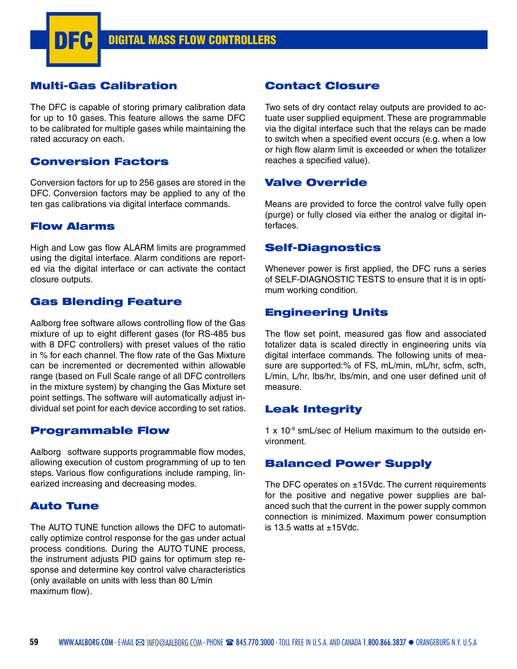# Multi-Gas Calibration

The DFC is capable of storing primary calibration data for up to 10 gases. This feature allows the same DFC to be calibrated for multiple gases while maintaining the rated accuracy on each.

# Conversion Factors

Conversion factors for up to 256 gases are stored in the DFC. Conversion factors may be applied to any of the ten gas calibrations via digital interface commands.

# Flow Alarms

High and Low gas flow ALARM limits are programmed using the digital interface. Alarm conditions are reported via the digital interface or can activate the contact closure outputs.

# Gas Blending Feature

Aalborg free software allows controlling flow of the Gas mixture of up to eight different gases (for RS-485 bus with 8 DFC controllers) with preset values of the ratio in % for each channel. The flow rate of the Gas Mixture can be incremented or decremented within allowable range (based on Full Scale range of all DFC controllers in the mixture system) by changing the Gas Mixture set point settings. The software will automatically adjust individual set point for each device according to set ratios.

#### Programmable Flow

Aalborg software supports programmable flow modes, allowing execution of custom programming of up to ten steps. Various flow configurations include ramping, linearized increasing and decreasing modes.

#### Auto Tune

The AUTO TUNE function allows the DFC to automatically optimize control response for the gas under actual process conditions. During the AUTO TUNE process, the instrument adjusts PID gains for optimum step response and determine key control valve characteristics (only available on units with less than 80 L/min maximum flow).

# Contact Closure

Two sets of dry contact relay outputs are provided to actuate user supplied equipment. These are programmable via the digital interface such that the relays can be made to switch when a specified event occurs (e.g. when a low or high flow alarm limit is exceeded or when the totalizer reaches a specified value).

# Valve Override

Means are provided to force the control valve fully open (purge) or fully closed via either the analog or digital interfaces.

#### Self-Diagnostics

Whenever power is first applied, the DFC runs a series of SELF-DIAGNOSTIC TESTS to ensure that it is in optimum working condition.

# Engineering Units

The flow set point, measured gas flow and associated totalizer data is scaled directly in engineering units via digital interface commands. The following units of measure are supported:% of FS, mL/min, mL/hr, scfm, scfh, L/min, L/hr, lbs/hr, lbs/min, and one user defined unit of measure.

# Leak Integrity

1 x 10-9 smL/sec of Helium maximum to the outside environment.

# Balanced Power Supply

The DFC operates on  $\pm$ 15Vdc. The current requirements for the positive and negative power supplies are balanced such that the current in the power supply common connection is minimized. Maximum power consumption is  $13.5$  watts at  $+15$ Vdc.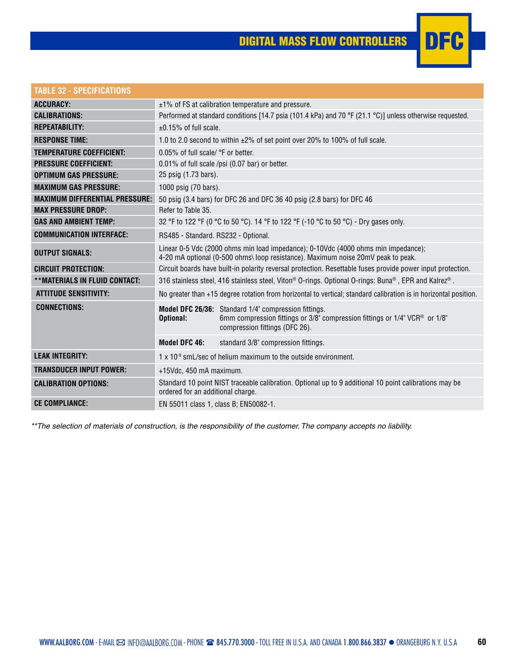

| TABLE 32 - SPECIFICATIONS             |                                                                                                                                                                                   |
|---------------------------------------|-----------------------------------------------------------------------------------------------------------------------------------------------------------------------------------|
| <b>ACCURACY:</b>                      | $\pm$ 1% of FS at calibration temperature and pressure.                                                                                                                           |
| <b>CALIBRATIONS:</b>                  | Performed at standard conditions [14.7 psia (101.4 kPa) and 70 °F (21.1 °C)] unless otherwise requested.                                                                          |
| <b>REPEATABILITY:</b>                 | $±0.15%$ of full scale.                                                                                                                                                           |
| <b>RESPONSE TIME:</b>                 | 1.0 to 2.0 second to within ±2% of set point over 20% to 100% of full scale.                                                                                                      |
| <b>TEMPERATURE COEFFICIENT:</b>       | 0.05% of full scale/ °F or better.                                                                                                                                                |
| <b>PRESSURE COEFFICIENT:</b>          | 0.01% of full scale /psi (0.07 bar) or better.                                                                                                                                    |
| <b>OPTIMUM GAS PRESSURE:</b>          | 25 psig (1.73 bars).                                                                                                                                                              |
| <b>MAXIMUM GAS PRESSURE:</b>          | 1000 psig (70 bars).                                                                                                                                                              |
| <b>MAXIMUM DIFFERENTIAL PRESSURE:</b> | 50 psig (3.4 bars) for DFC 26 and DFC 36 40 psig (2.8 bars) for DFC 46                                                                                                            |
| <b>MAX PRESSURE DROP:</b>             | Refer to Table 35.                                                                                                                                                                |
| <b>GAS AND AMBIENT TEMP:</b>          | 32 °F to 122 °F (0 °C to 50 °C). 14 °F to 122 °F (-10 °C to 50 °C) - Dry gases only.                                                                                              |
| <b>COMMUNICATION INTERFACE:</b>       | RS485 - Standard. RS232 - Optional.                                                                                                                                               |
| <b>OUTPUT SIGNALS:</b>                | Linear 0-5 Vdc (2000 ohms min load impedance); 0-10Vdc (4000 ohms min impedance);<br>4-20 mA optional (0-500 ohms\ loop resistance). Maximum noise 20mV peak to peak.             |
| <b>CIRCUIT PROTECTION:</b>            | Circuit boards have built-in polarity reversal protection. Resettable fuses provide power input protection.                                                                       |
| **MATERIALS IN FLUID CONTACT:         | 316 stainless steel, 416 stainless steel, Viton® O-rings. Optional O-rings: Buna®, EPR and Kalrez®.                                                                               |
| <b>ATTITUDE SENSITIVITY:</b>          | No greater than +15 degree rotation from horizontal to vertical; standard calibration is in horizontal position.                                                                  |
| <b>CONNECTIONS:</b>                   | Model DFC 26/36: Standard 1/4" compression fittings.<br>Optional:<br>6mm compression fittings or 3/8" compression fittings or 1/4" VCR® or 1/8"<br>compression fittings (DFC 26). |
|                                       | Model DFC 46:<br>standard 3/8" compression fittings.                                                                                                                              |
| <b>LEAK INTEGRITY:</b>                | $1 \times 10^{-9}$ smL/sec of helium maximum to the outside environment.                                                                                                          |
| <b>TRANSDUCER INPUT POWER:</b>        | +15Vdc, 450 mA maximum.                                                                                                                                                           |
| <b>CALIBRATION OPTIONS:</b>           | Standard 10 point NIST traceable calibration. Optional up to 9 additional 10 point calibrations may be<br>ordered for an additional charge.                                       |
| <b>CE COMPLIANCE:</b>                 | EN 55011 class 1, class B; EN50082-1.                                                                                                                                             |

*\*\*The selection of materials of construction, is the responsibility of the customer. The company accepts no liability.*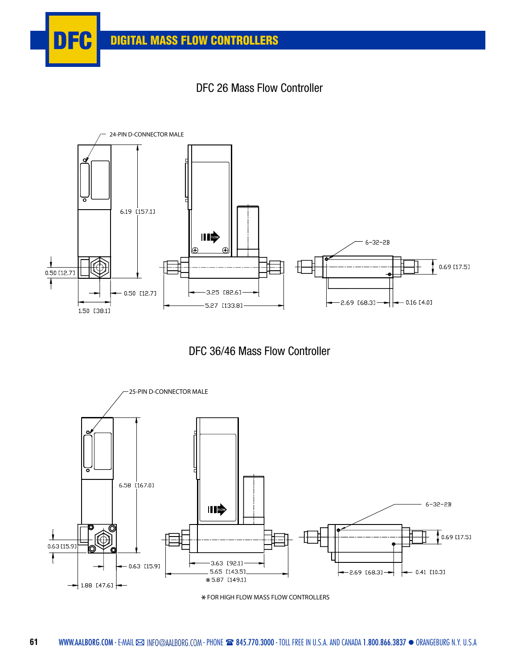







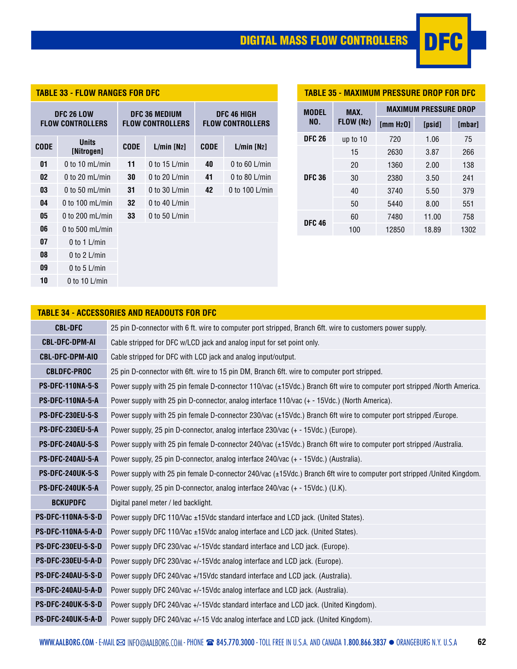# DIGITAL MASS FLOW CONTROLLERS DFC



| <b>TABLE 33 - FLOW RANGES FOR DFC</b>        |                            |                                                 |                           |             | <b>TABLE 3</b>                         |                     |
|----------------------------------------------|----------------------------|-------------------------------------------------|---------------------------|-------------|----------------------------------------|---------------------|
| <b>DFC 26 LOW</b><br><b>FLOW CONTROLLERS</b> |                            | <b>DFC 36 MEDIUM</b><br><b>FLOW CONTROLLERS</b> |                           |             | DFC 46 HIGH<br><b>FLOW CONTROLLERS</b> | <b>MODEL</b><br>NO. |
| <b>CODE</b>                                  | <b>Units</b><br>[Nitrogen] | <b>CODE</b>                                     | $L/min$ [N <sub>2</sub> ] | <b>CODE</b> | L/min [N2]                             | <b>DFC 26</b>       |
| 01                                           | 0 to 10 $mL/min$           | 11                                              | 0 to $15$ L/min           | 40          | 0 to 60 L/min                          |                     |
| 02                                           | 0 to 20 $mL/min$           | 30                                              | 0 to 20 $L/min$           | 41          | 0 to 80 $L/min$                        | <b>DFC 36</b>       |
| 03                                           | 0 to 50 $mL/min$           | 31                                              | 0 to 30 $L/min$           | 42          | 0 to 100 L/min                         |                     |
| 04                                           | 0 to 100 $mL/min$          | 32                                              | 0 to 40 $L/min$           |             |                                        |                     |
| 05                                           | 0 to 200 mL/min            | 33                                              | 0 to 50 $L/min$           |             |                                        | <b>DFC 46</b>       |
| 06                                           | 0 to 500 mL/min            |                                                 |                           |             |                                        |                     |
| 07                                           | 0 to 1 $L/min$             |                                                 |                           |             |                                        |                     |
| 08                                           | 0 to 2 $L/min$             |                                                 |                           |             |                                        |                     |
| 09                                           | 0 to 5 $L/min$             |                                                 |                           |             |                                        |                     |
| 10                                           | 0 to 10 $L/min$            |                                                 |                           |             |                                        |                     |

| <b>TABLE 35 - MAXIMUM PRESSURE DROP FOR DFC</b> |                                      |                                                  |        |               |  |  |
|-------------------------------------------------|--------------------------------------|--------------------------------------------------|--------|---------------|--|--|
| <b>MODEL</b>                                    | <b>MAXIMUM PRESSURE DROP</b><br>MAX. |                                                  |        |               |  |  |
| NO.                                             | <b>FLOW (N2)</b>                     | $\mathop{\rm Imm}$ H <sub>2</sub> O <sub>1</sub> | [psid] | <b>Imbarl</b> |  |  |
| <b>DFC 26</b>                                   | up to $10$                           | 720                                              | 1.06   | 75            |  |  |
|                                                 | 15                                   | 2630                                             | 3.87   | 266           |  |  |
|                                                 | 20                                   | 1360                                             | 2.00   | 138           |  |  |
| <b>DFC 36</b>                                   | 30                                   | 2380                                             | 3.50   | 241           |  |  |
|                                                 | 40                                   | 3740                                             | 5.50   | 379           |  |  |
|                                                 | 50                                   | 5440                                             | 8.00   | 551           |  |  |
| <b>DFC 46</b>                                   | 60                                   | 7480                                             | 11.00  | 758           |  |  |
|                                                 | 100                                  | 12850                                            | 18.89  | 1302          |  |  |

# **TABLE 34 - ACCESSORIES AND READOUTS FOR DFC**

| <b>CBL-DFC</b>            | 25 pin D-connector with 6 ft. wire to computer port stripped, Branch 6ft. wire to customers power supply.                |
|---------------------------|--------------------------------------------------------------------------------------------------------------------------|
| <b>CBL-DFC-DPM-AI</b>     | Cable stripped for DFC w/LCD jack and analog input for set point only.                                                   |
| <b>CBL-DFC-DPM-AIO</b>    | Cable stripped for DFC with LCD jack and analog input/output.                                                            |
| <b>CBLDFC-PROC</b>        | 25 pin D-connector with 6ft. wire to 15 pin DM, Branch 6ft. wire to computer port stripped.                              |
| <b>PS-DFC-110NA-5-S</b>   | Power supply with 25 pin female D-connector 110/vac (±15Vdc.) Branch 6ft wire to computer port stripped /North America.  |
| PS-DFC-110NA-5-A          | Power supply with 25 pin D-connector, analog interface 110/vac (+ - 15Vdc.) (North America).                             |
| <b>PS-DFC-230EU-5-S</b>   | Power supply with 25 pin female D-connector 230/vac $(\pm 15$ Vdc.) Branch 6ft wire to computer port stripped /Europe.   |
| <b>PS-DFC-230EU-5-A</b>   | Power supply, 25 pin D-connector, analog interface 230/vac (+ - 15Vdc.) (Europe).                                        |
| <b>PS-DFC-240AU-5-S</b>   | Power supply with 25 pin female D-connector 240/vac (±15Vdc.) Branch 6ft wire to computer port stripped /Australia.      |
| <b>PS-DFC-240AU-5-A</b>   | Power supply, 25 pin D-connector, analog interface 240/vac (+ - 15Vdc.) (Australia).                                     |
| <b>PS-DFC-240UK-5-S</b>   | Power supply with 25 pin female D-connector 240/vac (±15Vdc.) Branch 6ft wire to computer port stripped /United Kingdom. |
| <b>PS-DFC-240UK-5-A</b>   | Power supply, 25 pin D-connector, analog interface 240/vac (+ - 15Vdc.) (U.K).                                           |
| <b>BCKUPDFC</b>           | Digital panel meter / led backlight.                                                                                     |
| <b>PS-DFC-110NA-5-S-D</b> | Power supply DFC 110/Vac ±15Vdc standard interface and LCD jack. (United States).                                        |
| PS-DFC-110NA-5-A-D        | Power supply DFC 110/Vac ±15Vdc analog interface and LCD jack. (United States).                                          |
| <b>PS-DFC-230EU-5-S-D</b> | Power supply DFC 230/vac +/-15Vdc standard interface and LCD jack. (Europe).                                             |
| <b>PS-DFC-230EU-5-A-D</b> | Power supply DFC 230/vac +/-15Vdc analog interface and LCD jack. (Europe).                                               |
| <b>PS-DFC-240AU-5-S-D</b> | Power supply DFC 240/vac +/15Vdc standard interface and LCD jack. (Australia).                                           |
| <b>PS-DFC-240AU-5-A-D</b> | Power supply DFC 240/vac +/-15Vdc analog interface and LCD jack. (Australia).                                            |
| <b>PS-DFC-240UK-5-S-D</b> | Power supply DFC 240/vac +/-15Vdc standard interface and LCD jack. (United Kingdom).                                     |
| <b>PS-DFC-240UK-5-A-D</b> | Power supply DFC 240/vac +/-15 Vdc analog interface and LCD jack. (United Kingdom).                                      |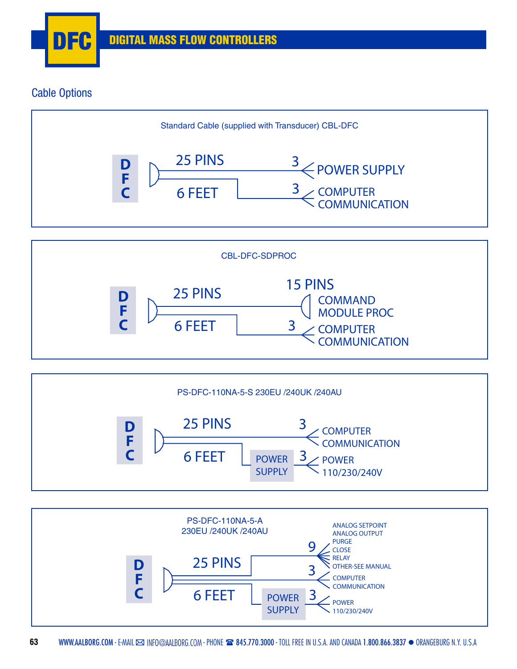

# Cable Options